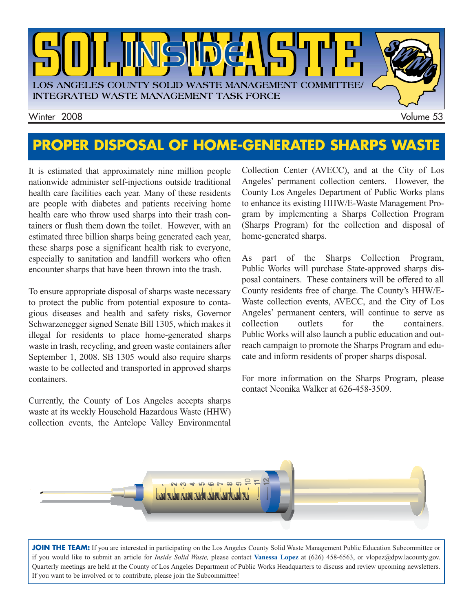

### **PROPER DISPOSAL OF HOME-GENERATED SHARPS WASTE**

It is estimated that approximately nine million people nationwide administer self-injections outside traditional health care facilities each year. Many of these residents are people with diabetes and patients receiving home health care who throw used sharps into their trash containers or flush them down the toilet. However, with an estimated three billion sharps being generated each year, these sharps pose a significant health risk to everyone, especially to sanitation and landfill workers who often encounter sharps that have been thrown into the trash.

To ensure appropriate disposal of sharps waste necessary to protect the public from potential exposure to contagious diseases and health and safety risks, Governor Schwarzenegger signed Senate Bill 1305, which makes it illegal for residents to place home-generated sharps waste in trash, recycling, and green waste containers after September 1, 2008. SB 1305 would also require sharps waste to be collected and transported in approved sharps containers.

Currently, the County of Los Angeles accepts sharps waste at its weekly Household Hazardous Waste (HHW) collection events, the Antelope Valley Environmental Collection Center (AVECC), and at the City of Los Angeles' permanent collection centers. However, the County Los Angeles Department of Public Works plans to enhance its existing HHW/E-Waste Management Program by implementing a Sharps Collection Program (Sharps Program) for the collection and disposal of home-generated sharps.

As part of the Sharps Collection Program, Public Works will purchase State-approved sharps disposal containers. These containers will be offered to all County residents free of charge. The County's HHW/E-Waste collection events, AVECC, and the City of Los Angeles' permanent centers, will continue to serve as collection outlets for the containers. Public Works will also launch a public education and outreach campaign to promote the Sharps Program and educate and inform residents of proper sharps disposal.

For more information on the Sharps Program, please contact Neonika Walker at 626-458-3509.



JOIN THE TEAM: If you are interested in participating on the Los Angeles County Solid Waste Management Public Education Subcommittee or if you would like to submit an article for *Inside Solid Waste,* please contact **Vanessa Lopez** at (626) 458-6563, or vlopez@dpw.lacounty.gov. Quarterly meetings are held at the County of Los Angeles Department of Public Works Headquarters to discuss and review upcoming newsletters. If you want to be involved or to contribute, please join the Subcommittee!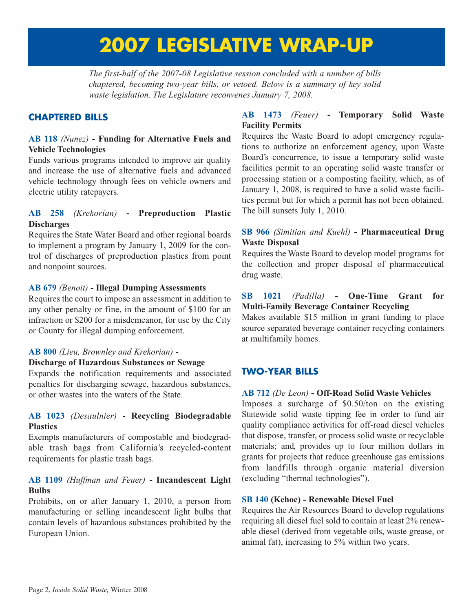## **2007 LEGISLATIVE WRAP-UP**

*The first-half of the 2007-08 Legislative session concluded with a number of bills chaptered, becoming two-year bills, or vetoed. Below is a summary of key solid waste legislation. The Legislature reconvenes January 7, 2008.*

#### **CHAPTERED BILLS**

#### **AB 118** *(Nunez)* **- Funding for Alternative Fuels and Vehicle Technologies**

Funds various programs intended to improve air quality and increase the use of alternative fuels and advanced vehicle technology through fees on vehicle owners and electric utility ratepayers.

#### **AB 258** *(Krekorian)* **- Preproduction Plastic Discharges**

Requires the State Water Board and other regional boards to implement a program by January 1, 2009 for the control of discharges of preproduction plastics from point and nonpoint sources.

#### **AB 679** *(Benoit)* **- Illegal Dumping Assessments**

Requires the court to impose an assessment in addition to any other penalty or fine, in the amount of \$100 for an infraction or \$200 for a misdemeanor, for use by the City or County for illegal dumping enforcement.

#### **AB 800** *(Lieu, Brownley and Krekorian)* **-**

#### **Discharge of Hazardous Substances or Sewage**

Expands the notification requirements and associated penalties for discharging sewage, hazardous substances, or other wastes into the waters of the State.

#### **AB 1023** *(Desaulnier)* **- Recycling Biodegradable Plastics**

Exempts manufacturers of compostable and biodegradable trash bags from California's recycled-content requirements for plastic trash bags.

#### **AB 1109** *(Huffman and Feuer)* **- Incandescent Light Bulbs**

Prohibits, on or after January 1, 2010, a person from manufacturing or selling incandescent light bulbs that contain levels of hazardous substances prohibited by the European Union.

#### **AB 1473** *(Feuer)* **- Temporary Solid Waste Facility Permits**

Requires the Waste Board to adopt emergency regulations to authorize an enforcement agency, upon Waste Board's concurrence, to issue a temporary solid waste facilities permit to an operating solid waste transfer or processing station or a composting facility, which, as of January 1, 2008, is required to have a solid waste facilities permit but for which a permit has not been obtained. The bill sunsets July 1, 2010.

#### **SB 966** *(Simitian and Kuehl)* **- Pharmaceutical Drug Waste Disposal**

Requires the Waste Board to develop model programs for the collection and proper disposal of pharmaceutical drug waste.

#### **SB 1021** *(Padilla)* **- One-Time Grant for Multi-Family Beverage Container Recycling**

Makes available \$15 million in grant funding to place source separated beverage container recycling containers at multifamily homes.

#### **TWO-YEAR BILLS**

#### **AB 712** *(De Leon)* **- Off-Road Solid Waste Vehicles**

Imposes a surcharge of \$0.50/ton on the existing Statewide solid waste tipping fee in order to fund air quality compliance activities for off-road diesel vehicles that dispose, transfer, or process solid waste or recyclable materials; and, provides up to four million dollars in grants for projects that reduce greenhouse gas emissions from landfills through organic material diversion (excluding "thermal technologies").

#### **SB 140 (Kehoe) - Renewable Diesel Fuel**

Requires the Air Resources Board to develop regulations requiring all diesel fuel sold to contain at least 2% renewable diesel (derived from vegetable oils, waste grease, or animal fat), increasing to 5% within two years.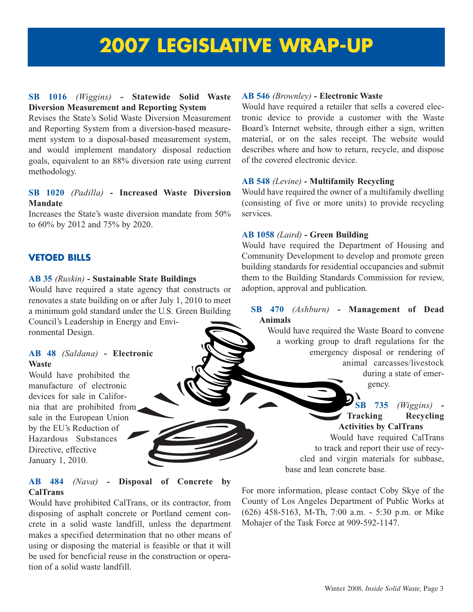## **2007 LEGISLATIVE WRAP-UP**

#### **SB 1016** *(Wiggins)* **- Statewide Solid Waste Diversion Measurement and Reporting System**

Revises the State's Solid Waste Diversion Measurement and Reporting System from a diversion-based measurement system to a disposal-based measurement system, and would implement mandatory disposal reduction goals, equivalent to an 88% diversion rate using current methodology.

#### **SB 1020** *(Padilla)* **- Increased Waste Diversion Mandate**

Increases the State's waste diversion mandate from 50% to 60% by 2012 and 75% by 2020.

#### **VETOED BILLS**

#### **AB 35** *(Ruskin)* **- Sustainable State Buildings**

Would have required a state agency that constructs or renovates a state building on or after July 1, 2010 to meet a minimum gold standard under the U.S. Green Building Council's Leadership in Energy and Environmental Design.

#### **AB 48** *(Saldana)* **- Electronic Waste**

Would have prohibited the manufacture of electronic devices for sale in California that are prohibited from sale in the European Union by the EU's Reduction of Hazardous Substances Directive, effective January 1, 2010.

#### **AB 484** *(Nava)* **- Disposal of Concrete by CalTrans**

Would have prohibited CalTrans, or its contractor, from disposing of asphalt concrete or Portland cement concrete in a solid waste landfill, unless the department makes a specified determination that no other means of using or disposing the material is feasible or that it will be used for beneficial reuse in the construction or operation of a solid waste landfill.

#### **AB 546** *(Brownley)* **- Electronic Waste**

Would have required a retailer that sells a covered electronic device to provide a customer with the Waste Board's Internet website, through either a sign, written material, or on the sales receipt. The website would describes where and how to return, recycle, and dispose of the covered electronic device.

#### **AB 548** *(Levine)* **- Multifamily Recycling**

Would have required the owner of a multifamily dwelling (consisting of five or more units) to provide recycling services.

#### **AB 1058** *(Laird)* **- Green Building**

Would have required the Department of Housing and Community Development to develop and promote green building standards for residential occupancies and submit them to the Building Standards Commission for review, adoption, approval and publication.

#### **SB 470** *(Ashburn)* **- Management of Dead Animals**

Would have required the Waste Board to convene a working group to draft regulations for the emergency disposal or rendering of animal carcasses/livestock during a state of emergency.

**SB 735** *(Wiggins)* **-**

**Recycling Activities by CalTrans**

Would have required CalTrans to track and report their use of recycled and virgin materials for subbase, base and lean concrete base.

For more information, please contact Coby Skye of the County of Los Angeles Department of Public Works at (626) 458-5163, M-Th, 7:00 a.m. - 5:30 p.m. or Mike Mohajer of the Task Force at 909-592-1147.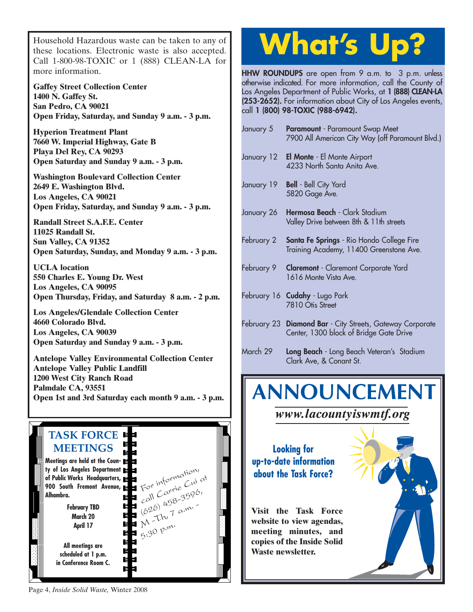Household Hazardous waste can be taken to any of these locations. Electronic waste is also accepted. Call 1-800-98-TOXIC or 1 (888) CLEAN-LA for more information.

**Gaffey Street Collection Center 1400 N. Gaffey St. San Pedro, CA 90021 Open Friday, Saturday, and Sunday 9 a.m. - 3 p.m.**

**Hyperion Treatment Plant 7660 W. Imperial Highway, Gate B Playa Del Rey, CA 90293 Open Saturday and Sunday 9 a.m. - 3 p.m.**

**Washington Boulevard Collection Center 2649 E. Washington Blvd. Los Angeles, CA 90021 Open Friday, Saturday, and Sunday 9 a.m. - 3 p.m.**

**Randall Street S.A.F.E. Center 11025 Randall St. Sun Valley, CA 91352 Open Saturday, Sunday, and Monday 9 a.m. - 3 p.m.**

**UCLA location 550 Charles E. Young Dr. West Los Angeles, CA 90095 Open Thursday, Friday, and Saturday 8 a.m. - 2 p.m.**

**Los Angeles/Glendale Collection Center 4660 Colorado Blvd. Los Angeles, CA 90039 Open Saturday and Sunday 9 a.m. - 3 p.m.**

**Antelope Valley Environmental Collection Center Antelope Valley Public Landfill 1200 West City Ranch Road Palmdale CA, 93551 Open 1st and 3rd Saturday each month 9 a.m. - 3 p.m.**

#### **TASK FORCE MEETINGS Meetings are held at the County of Los Angeles Department** For information, call Carrie Cui at **of Public Works Headquarters, 900 South Fremont Avenue,**  $\begin{array}{l}\n\text{call} \text{Carre} \\
\text{coll} \text{458-3596,} \\
\text{(626)} \text{458-35,} \\
\text{7} \text{ a.m.}\n\end{array}$ **Alhambra.** ᄇ **February TBD**  $(626)^{42}$  a.m. E **March 20** 텩 **April 17**  $5.30$  p.m. 电压 **All meetings are** E **scheduled at 1 p.m.**  È **in Conference Room C.** È

# **What's Up?**

**HHW ROUNDUPS** are open from 9 a.m. to 3 p.m. unless otherwise indicated. For more information, call the County of Los Angeles Department of Public Works, at **1 (888) CLEAN-LA (253-2652).** For information about City of Los Angeles events, call **1 (800) 98-TOXIC (988-6942).**

| January 5  | <b>Paramount</b> - Paramount Swap Meet<br>7900 All American City Way (off Paramount Blvd.) |
|------------|--------------------------------------------------------------------------------------------|
| January 12 | El Monte - El Monte Airport<br>4233 North Santa Anita Ave.                                 |
| January 19 | <b>Bell</b> - Bell City Yard<br>5820 Gage Ave.                                             |
| January 26 | Hermosa Beach - Clark Stadium<br>Valley Drive between 8th & 11th streets                   |
| February 2 | Santa Fe Springs - Rio Hondo College Fire<br>Training Academy, 11400 Greenstone Ave.       |
|            | February 9 <b>Claremont</b> - Claremont Corporate Yard<br>1616 Monte Vista Ave.            |
|            | February 16 Cudahy - Lugo Park<br>7810 Otis Street                                         |
|            | February 23 Diamond Bar - City Streets, Gateway Corporate                                  |

Center, 1300 block of Bridge Gate Drive March 29 **Long Beach** - Long Beach Veteran's Stadium

Clark Ave, & Conant St.

# **ANNOUNCEMENT**

*www.lacountyiswmtf.org*

**Looking for up-to-date information about the Task Force?**

**Visit the Task Force website to view agendas, meeting minutes, and copies of the Inside Solid Waste newsletter.**



Page 4, *Inside Solid Waste,* Winter 2008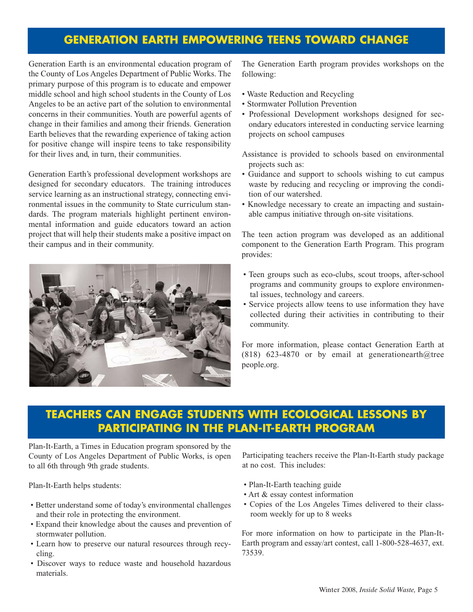#### **GENERATION EARTH EMPOWERING TEENS TOWARD CHANGE**

Generation Earth is an environmental education program of the County of Los Angeles Department of Public Works. The primary purpose of this program is to educate and empower middle school and high school students in the County of Los Angeles to be an active part of the solution to environmental concerns in their communities. Youth are powerful agents of change in their families and among their friends. Generation Earth believes that the rewarding experience of taking action for positive change will inspire teens to take responsibility for their lives and, in turn, their communities.

Generation Earth's professional development workshops are designed for secondary educators. The training introduces service learning as an instructional strategy, connecting environmental issues in the community to State curriculum standards. The program materials highlight pertinent environmental information and guide educators toward an action project that will help their students make a positive impact on their campus and in their community.



The Generation Earth program provides workshops on the following:

- Waste Reduction and Recycling
- Stormwater Pollution Prevention
- Professional Development workshops designed for secondary educators interested in conducting service learning projects on school campuses
- Assistance is provided to schools based on environmental projects such as:
- Guidance and support to schools wishing to cut campus waste by reducing and recycling or improving the condition of our watershed.
- Knowledge necessary to create an impacting and sustainable campus initiative through on-site visitations.

The teen action program was developed as an additional component to the Generation Earth Program. This program provides:

- Teen groups such as eco-clubs, scout troops, after-school programs and community groups to explore environmental issues, technology and careers.
- Service projects allow teens to use information they have collected during their activities in contributing to their community.

For more information, please contact Generation Earth at (818) 623-4870 or by email at generationearth $@$ tree people.org.

#### **TEACHERS CAN ENGAGE STUDENTS WITH ECOLOGICAL LESSONS BY PARTICIPATING IN THE PLAN-IT-EARTH PROGRAM**

Plan-It-Earth, a Times in Education program sponsored by the County of Los Angeles Department of Public Works, is open to all 6th through 9th grade students.

Plan-It-Earth helps students:

- Better understand some of today's environmental challenges and their role in protecting the environment.
- Expand their knowledge about the causes and prevention of stormwater pollution.
- Learn how to preserve our natural resources through recycling.
- Discover ways to reduce waste and household hazardous materials.

Participating teachers receive the Plan-It-Earth study package at no cost. This includes:

- Plan-It-Earth teaching guide
- Art & essay contest information
- Copies of the Los Angeles Times delivered to their classroom weekly for up to 8 weeks

For more information on how to participate in the Plan-It-Earth program and essay/art contest, call 1-800-528-4637, ext. 73539.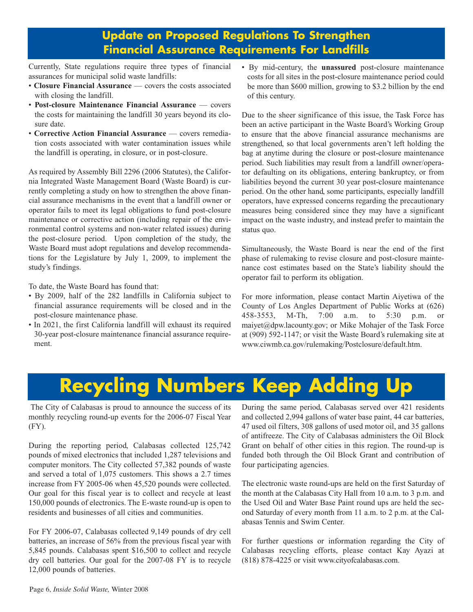#### **Update on Proposed Regulations To Strengthen Financial Assurance Requirements For Landfills**

Currently, State regulations require three types of financial assurances for municipal solid waste landfills:

- **Closure Financial Assurance** covers the costs associated with closing the landfill.
- **Post-closure Maintenance Financial Assurance** covers the costs for maintaining the landfill 30 years beyond its closure date.
- **Corrective Action Financial Assurance** covers remediation costs associated with water contamination issues while the landfill is operating, in closure, or in post-closure.

As required by Assembly Bill 2296 (2006 Statutes), the California Integrated Waste Management Board (Waste Board) is currently completing a study on how to strengthen the above financial assurance mechanisms in the event that a landfill owner or operator fails to meet its legal obligations to fund post-closure maintenance or corrective action (including repair of the environmental control systems and non-water related issues) during the post-closure period. Upon completion of the study, the Waste Board must adopt regulations and develop recommendations for the Legislature by July 1, 2009, to implement the study's findings.

To date, the Waste Board has found that:

- By 2009, half of the 282 landfills in California subject to financial assurance requirements will be closed and in the post-closure maintenance phase.
- In 2021, the first California landfill will exhaust its required 30-year post-closure maintenance financial assurance requirement.

• By mid-century, the **unassured** post-closure maintenance costs for all sites in the post-closure maintenance period could be more than \$600 million, growing to \$3.2 billion by the end of this century.

Due to the sheer significance of this issue, the Task Force has been an active participant in the Waste Board's Working Group to ensure that the above financial assurance mechanisms are strengthened, so that local governments aren't left holding the bag at anytime during the closure or post-closure maintenance period. Such liabilities may result from a landfill owner/operator defaulting on its obligations, entering bankruptcy, or from liabilities beyond the current 30 year post-closure maintenance period. On the other hand, some participants, especially landfill operators, have expressed concerns regarding the precautionary measures being considered since they may have a significant impact on the waste industry, and instead prefer to maintain the status quo.

Simultaneously, the Waste Board is near the end of the first phase of rulemaking to revise closure and post-closure maintenance cost estimates based on the State's liability should the operator fail to perform its obligation.

For more information, please contact Martin Aiyetiwa of the County of Los Angles Department of Public Works at (626) 458-3553, M-Th, 7:00 a.m. to 5:30 p.m. or maiyet@dpw.lacounty.gov; or Mike Mohajer of the Task Force at (909) 592-1147; or visit the Waste Board's rulemaking site at www.ciwmb.ca.gov/rulemaking/Postclosure/default.htm.

## **Recycling Numbers Keep Adding**

The City of Calabasas is proud to announce the success of its monthly recycling round-up events for the 2006-07 Fiscal Year (FY).

During the reporting period, Calabasas collected 125,742 pounds of mixed electronics that included 1,287 televisions and computer monitors. The City collected 57,382 pounds of waste and served a total of 1,075 customers. This shows a 2.7 times increase from FY 2005-06 when 45,520 pounds were collected. Our goal for this fiscal year is to collect and recycle at least 150,000 pounds of electronics. The E-waste round-up is open to residents and businesses of all cities and communities.

For FY 2006-07, Calabasas collected 9,149 pounds of dry cell batteries, an increase of 56% from the previous fiscal year with 5,845 pounds. Calabasas spent \$16,500 to collect and recycle dry cell batteries. Our goal for the 2007-08 FY is to recycle 12,000 pounds of batteries.

During the same period, Calabasas served over 421 residents and collected 2,994 gallons of water base paint, 44 car batteries, 47 used oil filters, 308 gallons of used motor oil, and 35 gallons of antifreeze. The City of Calabasas administers the Oil Block Grant on behalf of other cities in this region. The round-up is funded both through the Oil Block Grant and contribution of four participating agencies.

The electronic waste round-ups are held on the first Saturday of the month at the Calabasas City Hall from 10 a.m. to 3 p.m. and the Used Oil and Water Base Paint round ups are held the second Saturday of every month from 11 a.m. to 2 p.m. at the Calabasas Tennis and Swim Center.

For further questions or information regarding the City of Calabasas recycling efforts, please contact Kay Ayazi at (818) 878-4225 or visit www.cityofcalabasas.com.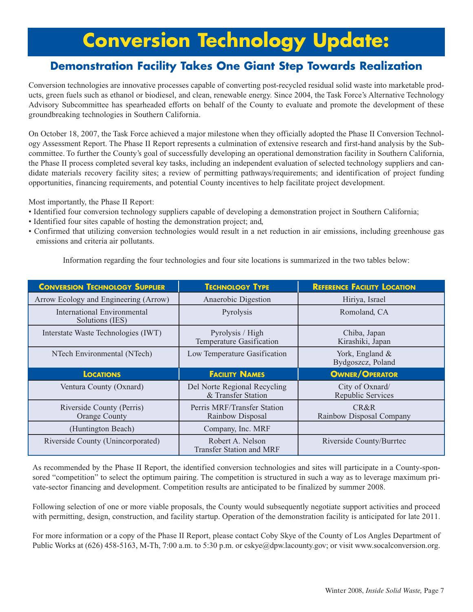## **Conversion Technology Update:**

#### **Demonstration Facility Takes One Giant Step Towards Realization**

Conversion technologies are innovative processes capable of converting post-recycled residual solid waste into marketable products, green fuels such as ethanol or biodiesel, and clean, renewable energy. Since 2004, the Task Force's Alternative Technology Advisory Subcommittee has spearheaded efforts on behalf of the County to evaluate and promote the development of these groundbreaking technologies in Southern California.

On October 18, 2007, the Task Force achieved a major milestone when they officially adopted the Phase II Conversion Technology Assessment Report. The Phase II Report represents a culmination of extensive research and first-hand analysis by the Subcommittee. To further the County's goal of successfully developing an operational demonstration facility in Southern California, the Phase II process completed several key tasks, including an independent evaluation of selected technology suppliers and candidate materials recovery facility sites; a review of permitting pathways/requirements; and identification of project funding opportunities, financing requirements, and potential County incentives to help facilitate project development.

Most importantly, the Phase II Report:

- Identified four conversion technology suppliers capable of developing a demonstration project in Southern California;
- Identified four sites capable of hosting the demonstration project; and,
- Confirmed that utilizing conversion technologies would result in a net reduction in air emissions, including greenhouse gas emissions and criteria air pollutants.

Information regarding the four technologies and four site locations is summarized in the two tables below:

| <b>CONVERSION TECHNOLOGY SUPPLIER</b>             | <b>TECHNOLOGY TYPE</b>                             | <b>REFERENCE FACILITY LOCATION</b>   |
|---------------------------------------------------|----------------------------------------------------|--------------------------------------|
| Arrow Ecology and Engineering (Arrow)             | Anaerobic Digestion                                | Hiriya, Israel                       |
| International Environmental<br>Solutions (IES)    | Pyrolysis                                          | Romoland, CA                         |
| Interstate Waste Technologies (IWT)               | Pyrolysis / High<br>Temperature Gasification       | Chiba, Japan<br>Kirashiki, Japan     |
| NTech Environmental (NTech)                       | Low Temperature Gasification                       | York, England &<br>Bydgoszcz, Poland |
|                                                   |                                                    |                                      |
| <b>LOCATIONS</b>                                  | <b>FACILITY NAMES</b>                              | <b>OWNER/OPERATOR</b>                |
| Ventura County (Oxnard)                           | Del Norte Regional Recycling<br>& Transfer Station | City of Oxnard/<br>Republic Services |
| Riverside County (Perris)<br><b>Orange County</b> | Perris MRF/Transfer Station<br>Rainbow Disposal    | CR&R<br>Rainbow Disposal Company     |
| (Huntington Beach)                                | Company, Inc. MRF                                  |                                      |

As recommended by the Phase II Report, the identified conversion technologies and sites will participate in a County-sponsored "competition" to select the optimum pairing. The competition is structured in such a way as to leverage maximum private-sector financing and development. Competition results are anticipated to be finalized by summer 2008.

Following selection of one or more viable proposals, the County would subsequently negotiate support activities and proceed with permitting, design, construction, and facility startup. Operation of the demonstration facility is anticipated for late 2011.

For more information or a copy of the Phase II Report, please contact Coby Skye of the County of Los Angles Department of Public Works at (626) 458-5163, M-Th, 7:00 a.m. to 5:30 p.m. or cskye@dpw.lacounty.gov; or visit www.socalconversion.org.